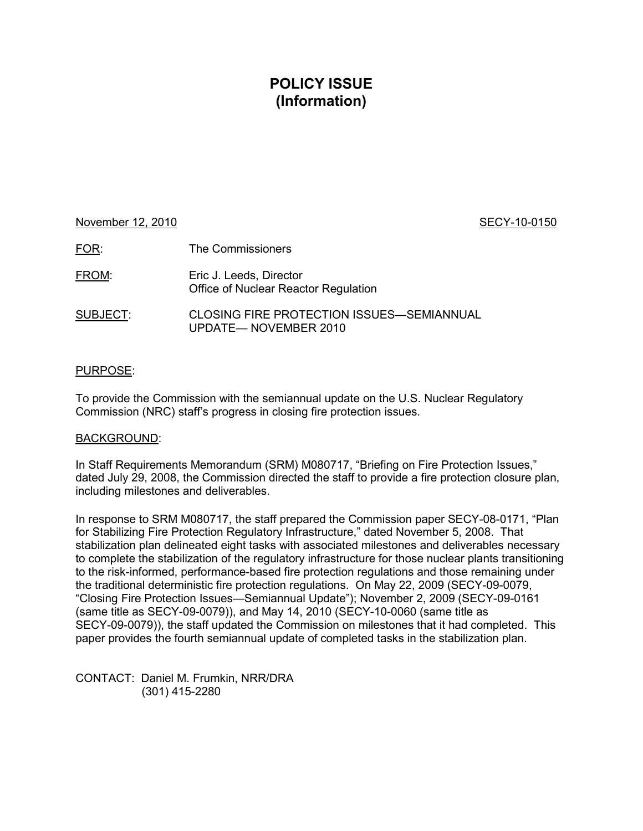## **POLICY ISSUE (Information)**

# November 12, 2010 **SECY-10-0150** FOR: The Commissioners FROM: Eric J. Leeds, Director Office of Nuclear Reactor Regulation

SUBJECT: CLOSING FIRE PROTECTION ISSUES—SEMIANNUAL UPDATE— NOVEMBER 2010

### PURPOSE:

To provide the Commission with the semiannual update on the U.S. Nuclear Regulatory Commission (NRC) staff's progress in closing fire protection issues.

### BACKGROUND:

In Staff Requirements Memorandum (SRM) M080717, "Briefing on Fire Protection Issues," dated July 29, 2008, the Commission directed the staff to provide a fire protection closure plan, including milestones and deliverables.

In response to SRM M080717, the staff prepared the Commission paper SECY-08-0171, "Plan for Stabilizing Fire Protection Regulatory Infrastructure," dated November 5, 2008. That stabilization plan delineated eight tasks with associated milestones and deliverables necessary to complete the stabilization of the regulatory infrastructure for those nuclear plants transitioning to the risk-informed, performance-based fire protection regulations and those remaining under the traditional deterministic fire protection regulations. On May 22, 2009 (SECY-09-0079, "Closing Fire Protection Issues—Semiannual Update"); November 2, 2009 (SECY-09-0161 (same title as SECY-09-0079)), and May 14, 2010 (SECY-10-0060 (same title as SECY-09-0079)), the staff updated the Commission on milestones that it had completed. This paper provides the fourth semiannual update of completed tasks in the stabilization plan.

CONTACT: Daniel M. Frumkin, NRR/DRA (301) 415-2280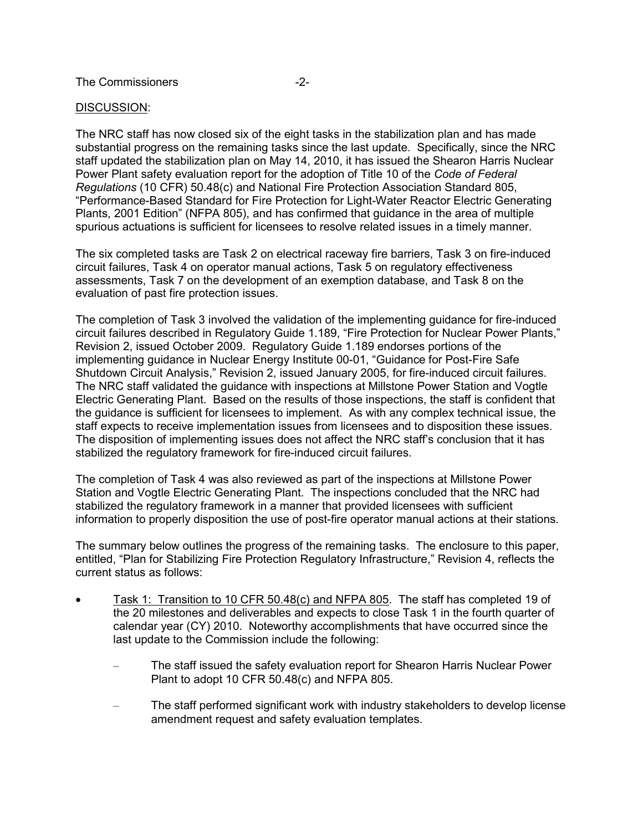### DISCUSSION:

The NRC staff has now closed six of the eight tasks in the stabilization plan and has made substantial progress on the remaining tasks since the last update. Specifically, since the NRC staff updated the stabilization plan on May 14, 2010, it has issued the Shearon Harris Nuclear Power Plant safety evaluation report for the adoption of Title 10 of the *Code of Federal Regulations* (10 CFR) 50.48(c) and National Fire Protection Association Standard 805, "Performance-Based Standard for Fire Protection for Light-Water Reactor Electric Generating Plants, 2001 Edition" (NFPA 805), and has confirmed that guidance in the area of multiple spurious actuations is sufficient for licensees to resolve related issues in a timely manner.

The six completed tasks are Task 2 on electrical raceway fire barriers, Task 3 on fire-induced circuit failures, Task 4 on operator manual actions, Task 5 on regulatory effectiveness assessments, Task 7 on the development of an exemption database, and Task 8 on the evaluation of past fire protection issues.

The completion of Task 3 involved the validation of the implementing guidance for fire-induced circuit failures described in Regulatory Guide 1.189, "Fire Protection for Nuclear Power Plants," Revision 2, issued October 2009. Regulatory Guide 1.189 endorses portions of the implementing guidance in Nuclear Energy Institute 00-01, "Guidance for Post-Fire Safe Shutdown Circuit Analysis," Revision 2, issued January 2005, for fire-induced circuit failures. The NRC staff validated the guidance with inspections at Millstone Power Station and Vogtle Electric Generating Plant. Based on the results of those inspections, the staff is confident that the guidance is sufficient for licensees to implement. As with any complex technical issue, the staff expects to receive implementation issues from licensees and to disposition these issues. The disposition of implementing issues does not affect the NRC staff's conclusion that it has stabilized the regulatory framework for fire-induced circuit failures.

The completion of Task 4 was also reviewed as part of the inspections at Millstone Power Station and Vogtle Electric Generating Plant. The inspections concluded that the NRC had stabilized the regulatory framework in a manner that provided licensees with sufficient information to properly disposition the use of post-fire operator manual actions at their stations.

The summary below outlines the progress of the remaining tasks. The enclosure to this paper, entitled, "Plan for Stabilizing Fire Protection Regulatory Infrastructure," Revision 4, reflects the current status as follows:

- Task 1: Transition to 10 CFR 50.48(c) and NFPA 805. The staff has completed 19 of the 20 milestones and deliverables and expects to close Task 1 in the fourth quarter of calendar year (CY) 2010. Noteworthy accomplishments that have occurred since the last update to the Commission include the following:
	- The staff issued the safety evaluation report for Shearon Harris Nuclear Power Plant to adopt 10 CFR 50.48(c) and NFPA 805.
	- The staff performed significant work with industry stakeholders to develop license amendment request and safety evaluation templates.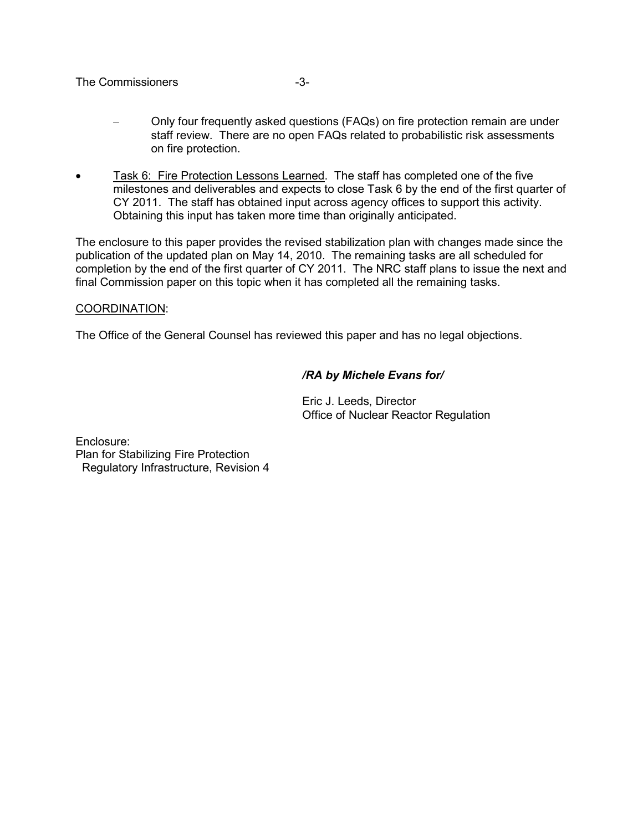### The Commissioners and the Commissioners of the state of  $-3-$

- Only four frequently asked questions (FAQs) on fire protection remain are under staff review. There are no open FAQs related to probabilistic risk assessments on fire protection.
- Task 6: Fire Protection Lessons Learned. The staff has completed one of the five milestones and deliverables and expects to close Task 6 by the end of the first quarter of CY 2011. The staff has obtained input across agency offices to support this activity. Obtaining this input has taken more time than originally anticipated.

The enclosure to this paper provides the revised stabilization plan with changes made since the publication of the updated plan on May 14, 2010. The remaining tasks are all scheduled for completion by the end of the first quarter of CY 2011. The NRC staff plans to issue the next and final Commission paper on this topic when it has completed all the remaining tasks.

### COORDINATION:

The Office of the General Counsel has reviewed this paper and has no legal objections.

### */RA by Michele Evans for/*

Eric J. Leeds, Director Office of Nuclear Reactor Regulation

Enclosure: Plan for Stabilizing Fire Protection Regulatory Infrastructure, Revision 4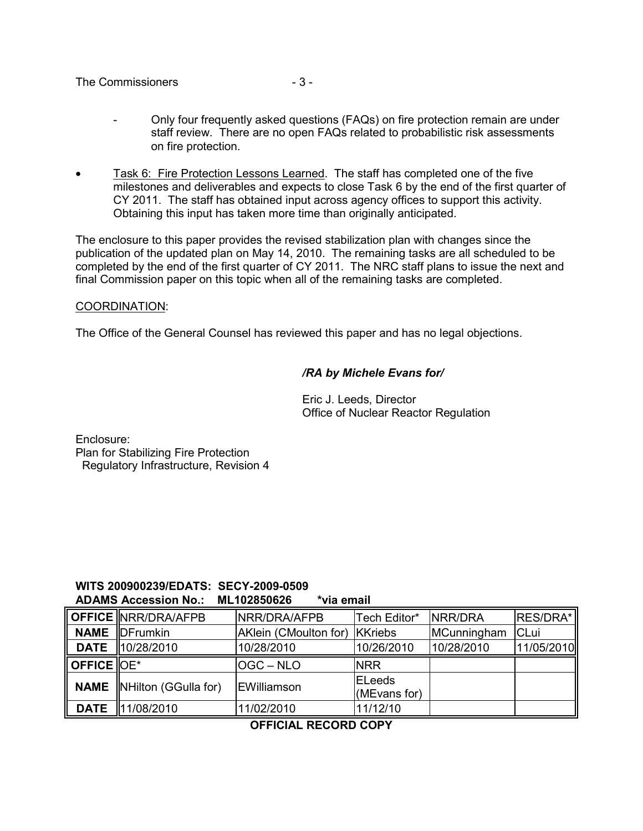### The Commissioners  $-3-$

- Only four frequently asked questions (FAQs) on fire protection remain are under staff review. There are no open FAQs related to probabilistic risk assessments on fire protection.
- Task 6: Fire Protection Lessons Learned. The staff has completed one of the five milestones and deliverables and expects to close Task 6 by the end of the first quarter of CY 2011. The staff has obtained input across agency offices to support this activity. Obtaining this input has taken more time than originally anticipated.

The enclosure to this paper provides the revised stabilization plan with changes since the publication of the updated plan on May 14, 2010. The remaining tasks are all scheduled to be completed by the end of the first quarter of CY 2011. The NRC staff plans to issue the next and final Commission paper on this topic when all of the remaining tasks are completed.

### COORDINATION:

The Office of the General Counsel has reviewed this paper and has no legal objections.

### */RA by Michele Evans for/*

Eric J. Leeds, Director Office of Nuclear Reactor Regulation

Enclosure: Plan for Stabilizing Fire Protection Regulatory Infrastructure, Revision 4

### **WITS 200900239/EDATS: SECY-2009-0509 ADAMS Accession No.: ML102850626 \*via email**

|                                    | OFFICE NRR/DRA/AFPB               | <b>INRR/DRA/AFPB</b>  | Tech Editor*                   | <b>INRR/DRA</b> | <b>RES/DRA*</b> |
|------------------------------------|-----------------------------------|-----------------------|--------------------------------|-----------------|-----------------|
|                                    | <b>NAME</b> DFrumkin              | AKlein (CMoulton for) | KKriebs                        | MCunningham     | CLui            |
|                                    | <b>DATE</b> 10/28/2010            | 10/28/2010            | 10/26/2010                     | 10/28/2010      | 11/05/2010      |
| $\parallel$ OFFICE $\parallel$ OE* |                                   | lOGC – NLO            | <b>NRR</b>                     |                 |                 |
|                                    | <b>NAME N</b> Hilton (GGulla for) | <b>IEWilliamson</b>   | <b>IELeeds</b><br>(MEvans for) |                 |                 |
|                                    | <b>DATE</b> 11/08/2010            | 11/02/2010            | 11/12/10                       |                 |                 |

### **OFFICIAL RECORD COPY**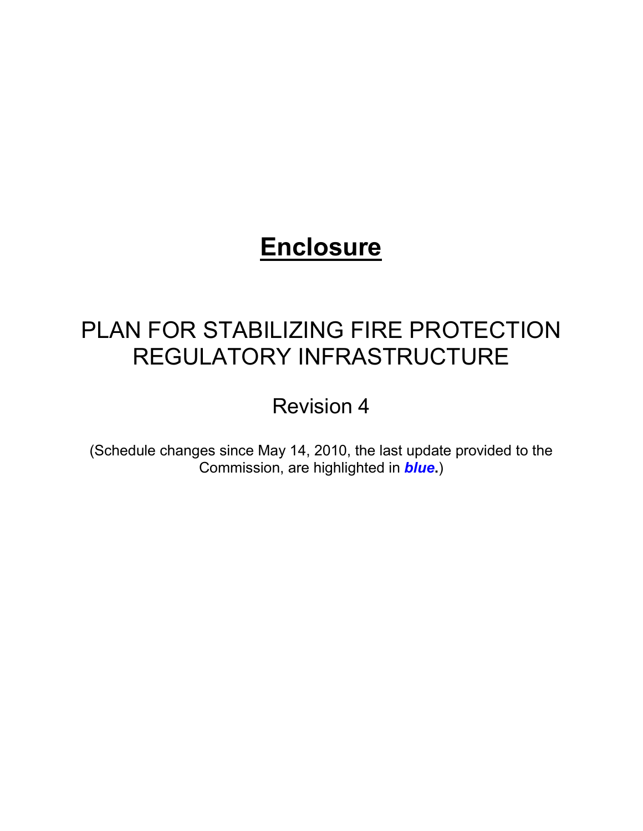# **Enclosure**

# PLAN FOR STABILIZING FIRE PROTECTION REGULATORY INFRASTRUCTURE

Revision 4

(Schedule changes since May 14, 2010, the last update provided to the Commission, are highlighted in *blue***.**)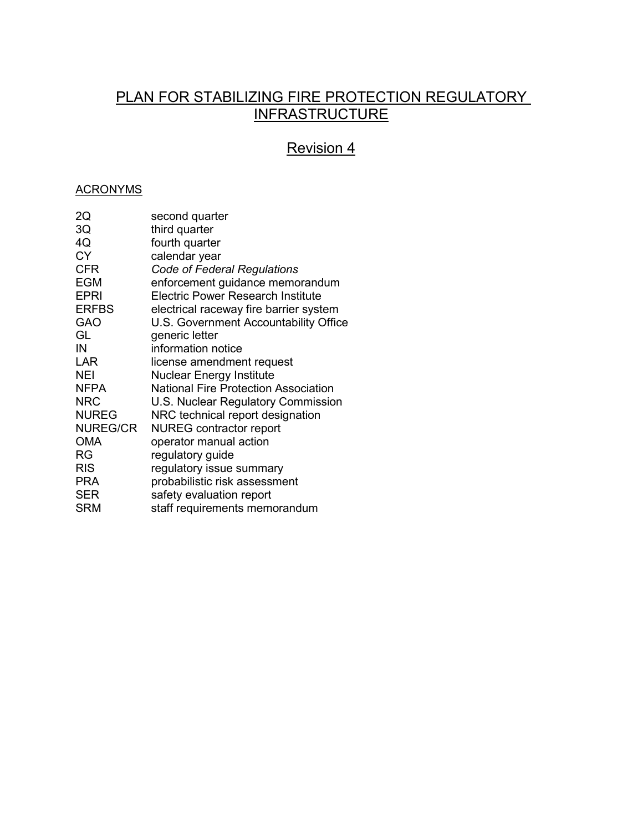### PLAN FOR STABILIZING FIRE PROTECTION REGULATORY **INFRASTRUCTURE**

# Revision 4

### **ACRONYMS**

| 2Q              | second quarter                              |
|-----------------|---------------------------------------------|
| 3Q              | third quarter                               |
| 4Q              | fourth quarter                              |
| <b>CY</b>       | calendar year                               |
| <b>CFR</b>      | Code of Federal Regulations                 |
| <b>EGM</b>      | enforcement guidance memorandum             |
| <b>EPRI</b>     | <b>Electric Power Research Institute</b>    |
| <b>ERFBS</b>    | electrical raceway fire barrier system      |
| GAO             | U.S. Government Accountability Office       |
| GL              | generic letter                              |
| IN              | information notice                          |
| LAR             | license amendment request                   |
| <b>NEI</b>      | <b>Nuclear Energy Institute</b>             |
| <b>NFPA</b>     | <b>National Fire Protection Association</b> |
| <b>NRC</b>      | U.S. Nuclear Regulatory Commission          |
| <b>NUREG</b>    | NRC technical report designation            |
| <b>NUREG/CR</b> | <b>NUREG</b> contractor report              |
| <b>OMA</b>      | operator manual action                      |
| <b>RG</b>       | regulatory guide                            |
| <b>RIS</b>      | regulatory issue summary                    |
| <b>PRA</b>      | probabilistic risk assessment               |
| <b>SER</b>      | safety evaluation report                    |
| <b>SRM</b>      | staff requirements memorandum               |
|                 |                                             |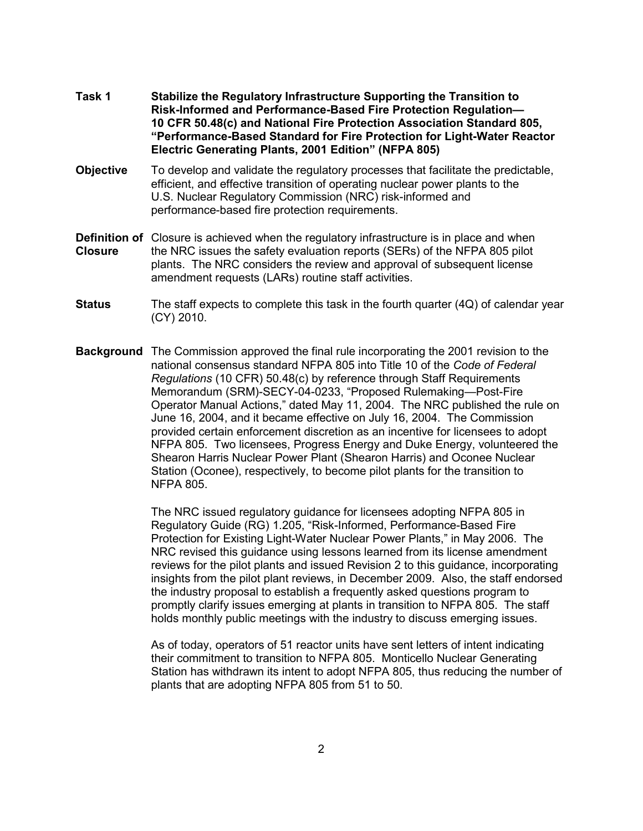- **Task 1 Stabilize the Regulatory Infrastructure Supporting the Transition to**  **Risk-Informed and Performance-Based Fire Protection Regulation— 10 CFR 50.48(c) and National Fire Protection Association Standard 805, "Performance-Based Standard for Fire Protection for Light-Water Reactor Electric Generating Plants, 2001 Edition" (NFPA 805)**
- **Objective** To develop and validate the regulatory processes that facilitate the predictable, efficient, and effective transition of operating nuclear power plants to the U.S. Nuclear Regulatory Commission (NRC) risk-informed and performance-based fire protection requirements.
- **Definition of** Closure is achieved when the regulatory infrastructure is in place and when **Closure** the NRC issues the safety evaluation reports (SERs) of the NFPA 805 pilot plants. The NRC considers the review and approval of subsequent license amendment requests (LARs) routine staff activities.
- **Status** The staff expects to complete this task in the fourth quarter (4Q) of calendar year (CY) 2010.
- **Background** The Commission approved the final rule incorporating the 2001 revision to the national consensus standard NFPA 805 into Title 10 of the *Code of Federal Regulations* (10 CFR) 50.48(c) by reference through Staff Requirements Memorandum (SRM)-SECY-04-0233, "Proposed Rulemaking—Post-Fire Operator Manual Actions," dated May 11, 2004. The NRC published the rule on June 16, 2004, and it became effective on July 16, 2004. The Commission provided certain enforcement discretion as an incentive for licensees to adopt NFPA 805. Two licensees, Progress Energy and Duke Energy, volunteered the Shearon Harris Nuclear Power Plant (Shearon Harris) and Oconee Nuclear Station (Oconee), respectively, to become pilot plants for the transition to NFPA 805.

The NRC issued regulatory guidance for licensees adopting NFPA 805 in Regulatory Guide (RG) 1.205, "Risk-Informed, Performance-Based Fire Protection for Existing Light-Water Nuclear Power Plants," in May 2006. The NRC revised this guidance using lessons learned from its license amendment reviews for the pilot plants and issued Revision 2 to this guidance, incorporating insights from the pilot plant reviews, in December 2009. Also, the staff endorsed the industry proposal to establish a frequently asked questions program to promptly clarify issues emerging at plants in transition to NFPA 805. The staff holds monthly public meetings with the industry to discuss emerging issues.

As of today, operators of 51 reactor units have sent letters of intent indicating their commitment to transition to NFPA 805. Monticello Nuclear Generating Station has withdrawn its intent to adopt NFPA 805, thus reducing the number of plants that are adopting NFPA 805 from 51 to 50.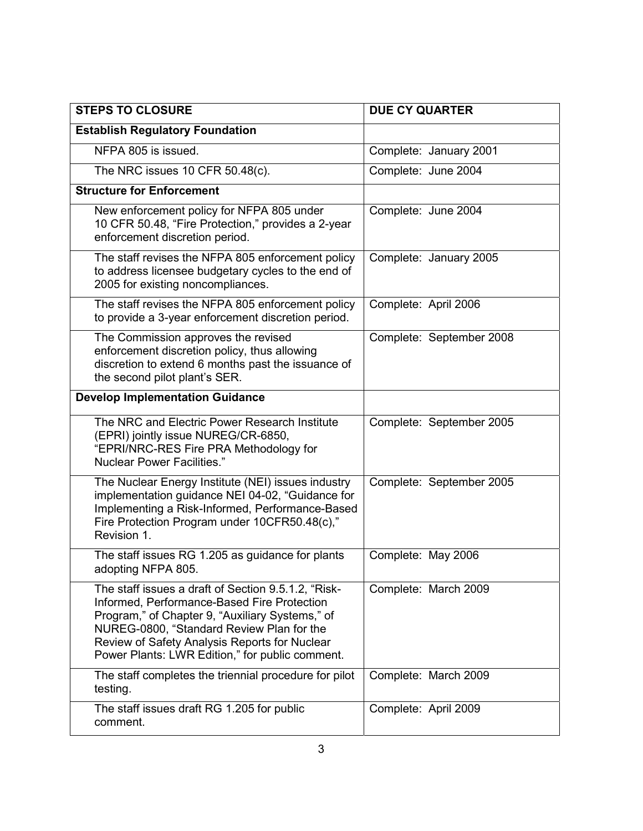| <b>STEPS TO CLOSURE</b>                                                                                                                                                                                                                                                                                | <b>DUE CY QUARTER</b>    |
|--------------------------------------------------------------------------------------------------------------------------------------------------------------------------------------------------------------------------------------------------------------------------------------------------------|--------------------------|
| <b>Establish Regulatory Foundation</b>                                                                                                                                                                                                                                                                 |                          |
| NFPA 805 is issued.                                                                                                                                                                                                                                                                                    | Complete: January 2001   |
| The NRC issues 10 CFR 50.48(c).                                                                                                                                                                                                                                                                        | Complete: June 2004      |
| <b>Structure for Enforcement</b>                                                                                                                                                                                                                                                                       |                          |
| New enforcement policy for NFPA 805 under<br>10 CFR 50.48, "Fire Protection," provides a 2-year<br>enforcement discretion period.                                                                                                                                                                      | Complete: June 2004      |
| The staff revises the NFPA 805 enforcement policy<br>to address licensee budgetary cycles to the end of<br>2005 for existing noncompliances.                                                                                                                                                           | Complete: January 2005   |
| The staff revises the NFPA 805 enforcement policy<br>to provide a 3-year enforcement discretion period.                                                                                                                                                                                                | Complete: April 2006     |
| The Commission approves the revised<br>enforcement discretion policy, thus allowing<br>discretion to extend 6 months past the issuance of<br>the second pilot plant's SER.                                                                                                                             | Complete: September 2008 |
| <b>Develop Implementation Guidance</b>                                                                                                                                                                                                                                                                 |                          |
| The NRC and Electric Power Research Institute<br>(EPRI) jointly issue NUREG/CR-6850,<br>"EPRI/NRC-RES Fire PRA Methodology for<br><b>Nuclear Power Facilities."</b>                                                                                                                                    | Complete: September 2005 |
| The Nuclear Energy Institute (NEI) issues industry<br>implementation guidance NEI 04-02, "Guidance for<br>Implementing a Risk-Informed, Performance-Based<br>Fire Protection Program under 10CFR50.48(c),"<br>Revision 1.                                                                              | Complete: September 2005 |
| The staff issues RG 1.205 as guidance for plants<br>adopting NFPA 805                                                                                                                                                                                                                                  | Complete: May 2006       |
| The staff issues a draft of Section 9.5.1.2, "Risk-<br>Informed, Performance-Based Fire Protection<br>Program," of Chapter 9, "Auxiliary Systems," of<br>NUREG-0800, "Standard Review Plan for the<br>Review of Safety Analysis Reports for Nuclear<br>Power Plants: LWR Edition," for public comment. | Complete: March 2009     |
| The staff completes the triennial procedure for pilot<br>testing.                                                                                                                                                                                                                                      | Complete: March 2009     |
| The staff issues draft RG 1.205 for public<br>comment.                                                                                                                                                                                                                                                 | Complete: April 2009     |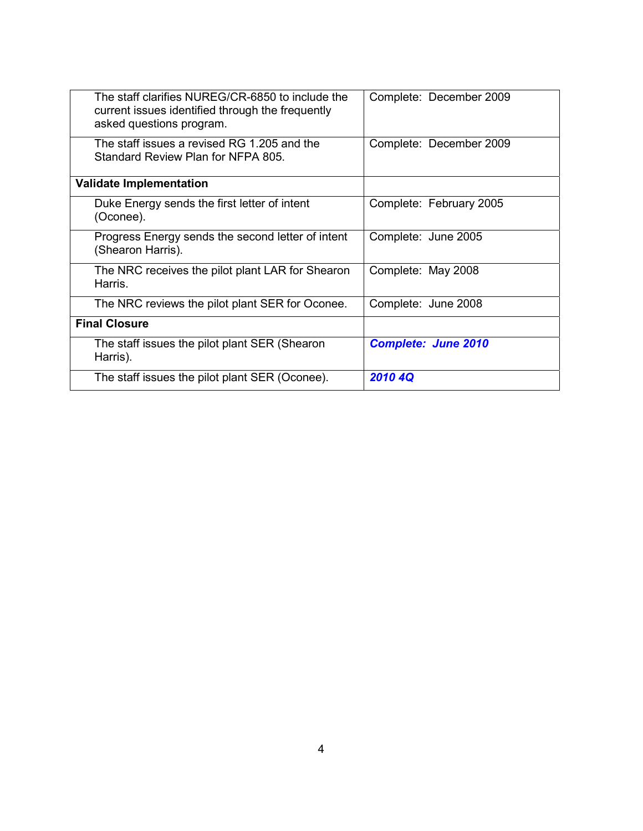| The staff clarifies NUREG/CR-6850 to include the<br>current issues identified through the frequently<br>asked questions program. | Complete: December 2009    |
|----------------------------------------------------------------------------------------------------------------------------------|----------------------------|
| The staff issues a revised RG 1.205 and the<br>Standard Review Plan for NFPA 805.                                                | Complete: December 2009    |
| <b>Validate Implementation</b>                                                                                                   |                            |
| Duke Energy sends the first letter of intent<br>(Oconee).                                                                        | Complete: February 2005    |
| Progress Energy sends the second letter of intent<br>(Shearon Harris).                                                           | Complete: June 2005        |
| The NRC receives the pilot plant LAR for Shearon<br>Harris.                                                                      | Complete: May 2008         |
| The NRC reviews the pilot plant SER for Oconee.                                                                                  | Complete: June 2008        |
| <b>Final Closure</b>                                                                                                             |                            |
| The staff issues the pilot plant SER (Shearon<br>Harris).                                                                        | <b>Complete: June 2010</b> |
| The staff issues the pilot plant SER (Oconee).                                                                                   | 2010 4Q                    |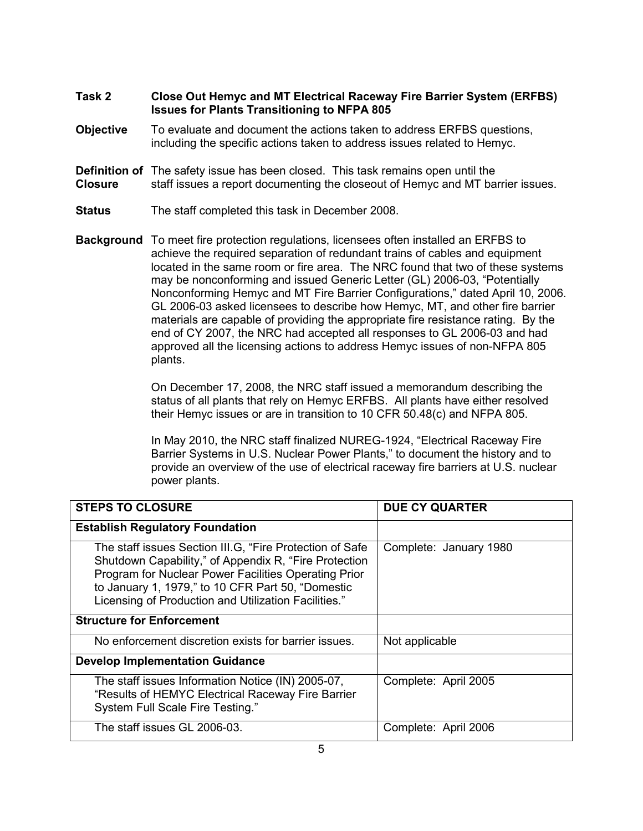### **Task 2 Close Out Hemyc and MT Electrical Raceway Fire Barrier System (ERFBS) Issues for Plants Transitioning to NFPA 805**

- **Objective** To evaluate and document the actions taken to address ERFBS questions, including the specific actions taken to address issues related to Hemyc.
- **Definition of** The safety issue has been closed. This task remains open until the **Closure** staff issues a report documenting the closeout of Hemyc and MT barrier issues.
- **Status** The staff completed this task in December 2008.
- **Background** To meet fire protection regulations, licensees often installed an ERFBS to achieve the required separation of redundant trains of cables and equipment located in the same room or fire area. The NRC found that two of these systems may be nonconforming and issued Generic Letter (GL) 2006-03, "Potentially Nonconforming Hemyc and MT Fire Barrier Configurations," dated April 10, 2006. GL 2006-03 asked licensees to describe how Hemyc, MT, and other fire barrier materials are capable of providing the appropriate fire resistance rating. By the end of CY 2007, the NRC had accepted all responses to GL 2006-03 and had approved all the licensing actions to address Hemyc issues of non-NFPA 805 plants.

On December 17, 2008, the NRC staff issued a memorandum describing the status of all plants that rely on Hemyc ERFBS. All plants have either resolved their Hemyc issues or are in transition to 10 CFR 50.48(c) and NFPA 805.

In May 2010, the NRC staff finalized NUREG-1924, "Electrical Raceway Fire Barrier Systems in U.S. Nuclear Power Plants," to document the history and to provide an overview of the use of electrical raceway fire barriers at U.S. nuclear power plants.

| <b>STEPS TO CLOSURE</b>                                                                                                                                                                                                                                                                  | <b>DUE CY QUARTER</b>  |
|------------------------------------------------------------------------------------------------------------------------------------------------------------------------------------------------------------------------------------------------------------------------------------------|------------------------|
| <b>Establish Regulatory Foundation</b>                                                                                                                                                                                                                                                   |                        |
| The staff issues Section III.G, "Fire Protection of Safe"<br>Shutdown Capability," of Appendix R, "Fire Protection"<br>Program for Nuclear Power Facilities Operating Prior<br>to January 1, 1979," to 10 CFR Part 50, "Domestic<br>Licensing of Production and Utilization Facilities." | Complete: January 1980 |
| <b>Structure for Enforcement</b>                                                                                                                                                                                                                                                         |                        |
| No enforcement discretion exists for barrier issues.                                                                                                                                                                                                                                     | Not applicable         |
| <b>Develop Implementation Guidance</b>                                                                                                                                                                                                                                                   |                        |
| The staff issues Information Notice (IN) 2005-07,<br>"Results of HEMYC Electrical Raceway Fire Barrier<br>System Full Scale Fire Testing."                                                                                                                                               | Complete: April 2005   |
| The staff issues GL 2006-03.                                                                                                                                                                                                                                                             | Complete: April 2006   |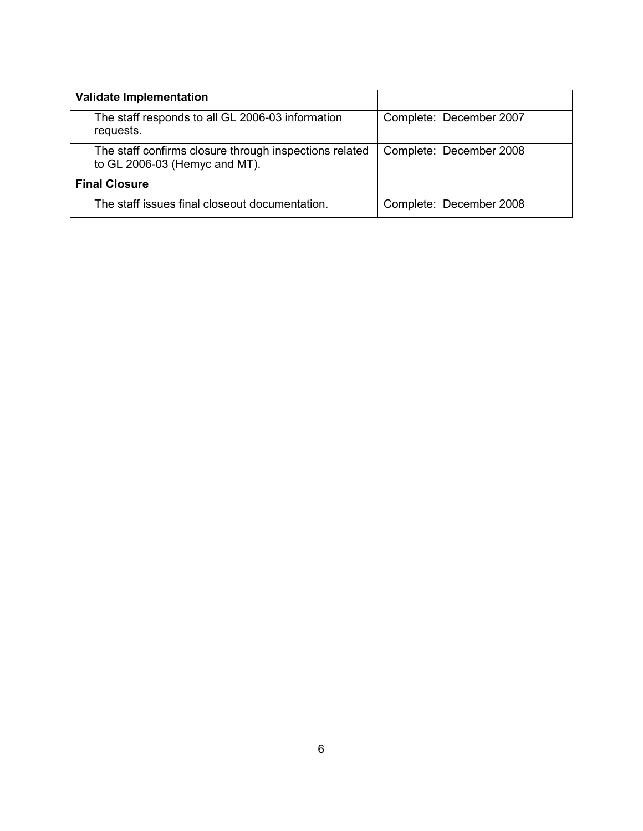| <b>Validate Implementation</b>                                                          |                         |
|-----------------------------------------------------------------------------------------|-------------------------|
| The staff responds to all GL 2006-03 information<br>requests.                           | Complete: December 2007 |
| The staff confirms closure through inspections related<br>to GL 2006-03 (Hemyc and MT). | Complete: December 2008 |
| <b>Final Closure</b>                                                                    |                         |
| The staff issues final closeout documentation.                                          | Complete: December 2008 |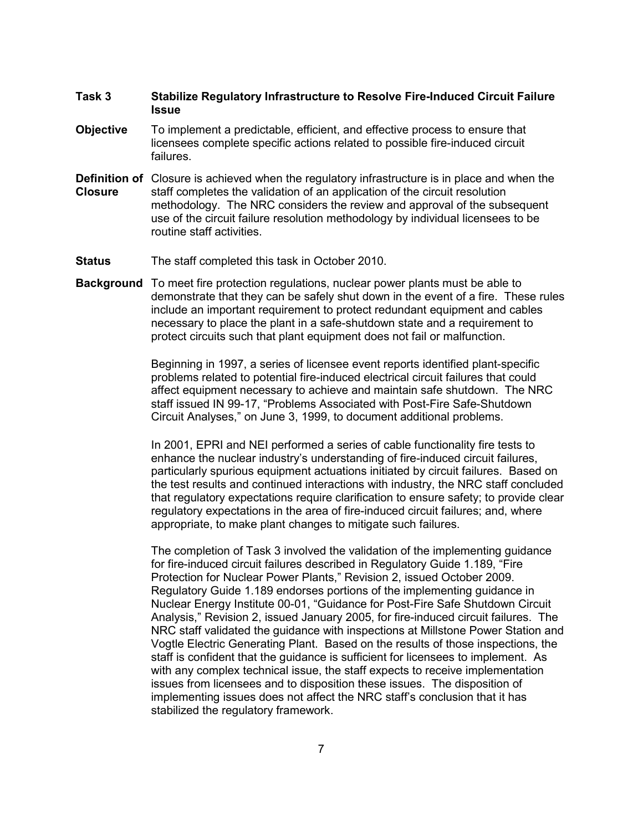### **Task 3 Stabilize Regulatory Infrastructure to Resolve Fire-Induced Circuit Failure Issue**

- **Objective** To implement a predictable, efficient, and effective process to ensure that licensees complete specific actions related to possible fire-induced circuit failures.
- **Definition of** Closure is achieved when the regulatory infrastructure is in place and when the **Closure** staff completes the validation of an application of the circuit resolution methodology. The NRC considers the review and approval of the subsequent use of the circuit failure resolution methodology by individual licensees to be routine staff activities.
- **Status** The staff completed this task in October 2010.
- **Background** To meet fire protection regulations, nuclear power plants must be able to demonstrate that they can be safely shut down in the event of a fire. These rules include an important requirement to protect redundant equipment and cables necessary to place the plant in a safe-shutdown state and a requirement to protect circuits such that plant equipment does not fail or malfunction.

Beginning in 1997, a series of licensee event reports identified plant-specific problems related to potential fire-induced electrical circuit failures that could affect equipment necessary to achieve and maintain safe shutdown. The NRC staff issued IN 99-17, "Problems Associated with Post-Fire Safe-Shutdown Circuit Analyses," on June 3, 1999, to document additional problems.

In 2001, EPRI and NEI performed a series of cable functionality fire tests to enhance the nuclear industry's understanding of fire-induced circuit failures, particularly spurious equipment actuations initiated by circuit failures. Based on the test results and continued interactions with industry, the NRC staff concluded that regulatory expectations require clarification to ensure safety; to provide clear regulatory expectations in the area of fire-induced circuit failures; and, where appropriate, to make plant changes to mitigate such failures.

The completion of Task 3 involved the validation of the implementing guidance for fire-induced circuit failures described in Regulatory Guide 1.189, "Fire Protection for Nuclear Power Plants," Revision 2, issued October 2009. Regulatory Guide 1.189 endorses portions of the implementing guidance in Nuclear Energy Institute 00-01, "Guidance for Post-Fire Safe Shutdown Circuit Analysis," Revision 2, issued January 2005, for fire-induced circuit failures. The NRC staff validated the guidance with inspections at Millstone Power Station and Vogtle Electric Generating Plant. Based on the results of those inspections, the staff is confident that the guidance is sufficient for licensees to implement. As with any complex technical issue, the staff expects to receive implementation issues from licensees and to disposition these issues. The disposition of implementing issues does not affect the NRC staff's conclusion that it has stabilized the regulatory framework.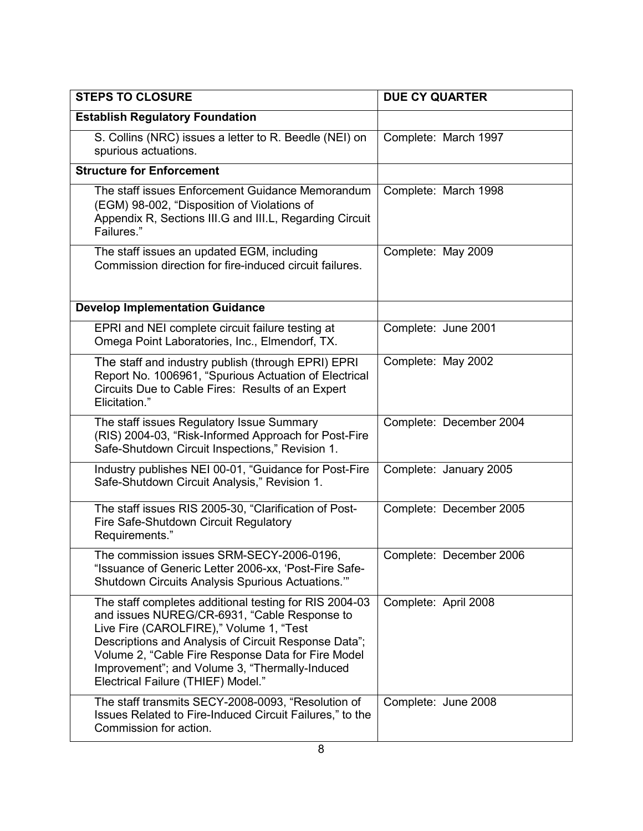| <b>STEPS TO CLOSURE</b>                                                                                                                                                                                                                                                                                                                                 | <b>DUE CY QUARTER</b>   |
|---------------------------------------------------------------------------------------------------------------------------------------------------------------------------------------------------------------------------------------------------------------------------------------------------------------------------------------------------------|-------------------------|
| <b>Establish Regulatory Foundation</b>                                                                                                                                                                                                                                                                                                                  |                         |
| S. Collins (NRC) issues a letter to R. Beedle (NEI) on<br>spurious actuations.                                                                                                                                                                                                                                                                          | Complete: March 1997    |
| <b>Structure for Enforcement</b>                                                                                                                                                                                                                                                                                                                        |                         |
| The staff issues Enforcement Guidance Memorandum<br>(EGM) 98-002, "Disposition of Violations of<br>Appendix R, Sections III.G and III.L, Regarding Circuit<br>Failures."                                                                                                                                                                                | Complete: March 1998    |
| The staff issues an updated EGM, including<br>Commission direction for fire-induced circuit failures.                                                                                                                                                                                                                                                   | Complete: May 2009      |
| <b>Develop Implementation Guidance</b>                                                                                                                                                                                                                                                                                                                  |                         |
| EPRI and NEI complete circuit failure testing at<br>Omega Point Laboratories, Inc., Elmendorf, TX.                                                                                                                                                                                                                                                      | Complete: June 2001     |
| The staff and industry publish (through EPRI) EPRI<br>Report No. 1006961, "Spurious Actuation of Electrical<br>Circuits Due to Cable Fires: Results of an Expert<br>Elicitation."                                                                                                                                                                       | Complete: May 2002      |
| The staff issues Regulatory Issue Summary<br>(RIS) 2004-03, "Risk-Informed Approach for Post-Fire<br>Safe-Shutdown Circuit Inspections," Revision 1.                                                                                                                                                                                                    | Complete: December 2004 |
| Industry publishes NEI 00-01, "Guidance for Post-Fire<br>Safe-Shutdown Circuit Analysis," Revision 1.                                                                                                                                                                                                                                                   | Complete: January 2005  |
| The staff issues RIS 2005-30, "Clarification of Post-<br>Fire Safe-Shutdown Circuit Regulatory<br>Requirements."                                                                                                                                                                                                                                        | Complete: December 2005 |
| The commission issues SRM-SECY-2006-0196.<br>"Issuance of Generic Letter 2006-xx, 'Post-Fire Safe-<br>Shutdown Circuits Analysis Spurious Actuations."                                                                                                                                                                                                  | Complete: December 2006 |
| The staff completes additional testing for RIS 2004-03<br>and issues NUREG/CR-6931, "Cable Response to<br>Live Fire (CAROLFIRE)," Volume 1, "Test<br>Descriptions and Analysis of Circuit Response Data";<br>Volume 2, "Cable Fire Response Data for Fire Model<br>Improvement"; and Volume 3, "Thermally-Induced<br>Electrical Failure (THIEF) Model." | Complete: April 2008    |
| The staff transmits SECY-2008-0093, "Resolution of<br>Issues Related to Fire-Induced Circuit Failures," to the<br>Commission for action.                                                                                                                                                                                                                | Complete: June 2008     |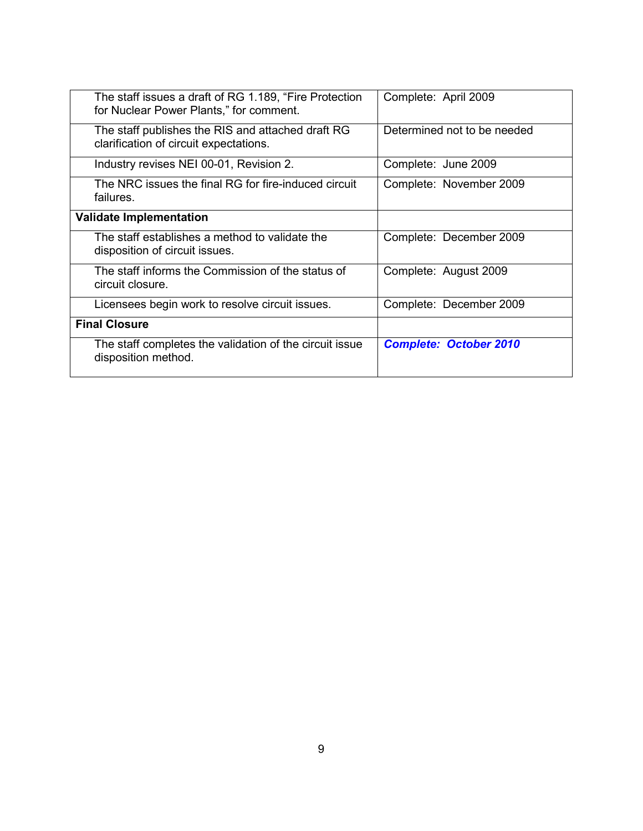| The staff issues a draft of RG 1.189, "Fire Protection<br>for Nuclear Power Plants," for comment. | Complete: April 2009          |
|---------------------------------------------------------------------------------------------------|-------------------------------|
| The staff publishes the RIS and attached draft RG<br>clarification of circuit expectations.       | Determined not to be needed   |
| Industry revises NEI 00-01, Revision 2.                                                           | Complete: June 2009           |
| The NRC issues the final RG for fire-induced circuit<br>failures.                                 | Complete: November 2009       |
| <b>Validate Implementation</b>                                                                    |                               |
| The staff establishes a method to validate the<br>disposition of circuit issues.                  | Complete: December 2009       |
| The staff informs the Commission of the status of<br>circuit closure.                             | Complete: August 2009         |
| Licensees begin work to resolve circuit issues.                                                   | Complete: December 2009       |
| <b>Final Closure</b>                                                                              |                               |
| The staff completes the validation of the circuit issue<br>disposition method.                    | <b>Complete: October 2010</b> |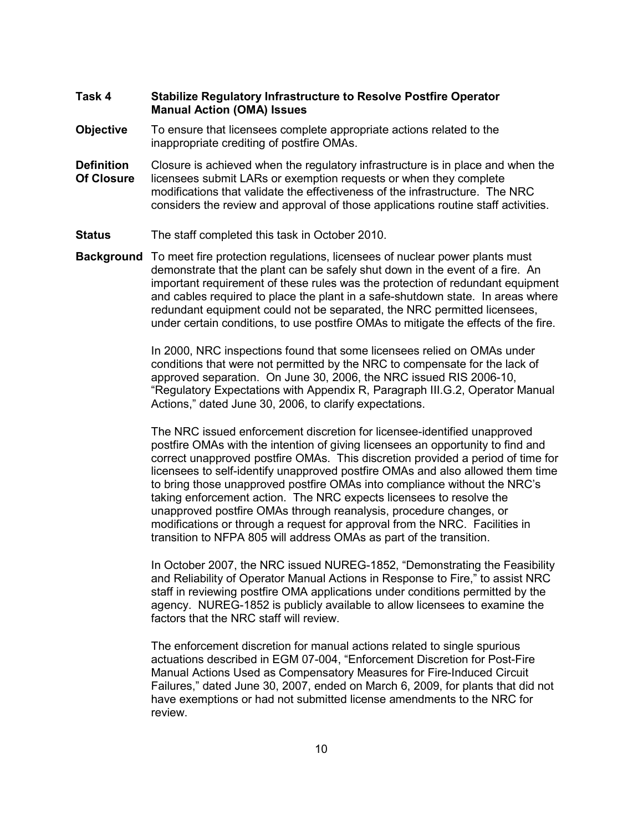### **Task 4 Stabilize Regulatory Infrastructure to Resolve Postfire Operator Manual Action (OMA) Issues**

- **Objective** To ensure that licensees complete appropriate actions related to the inappropriate crediting of postfire OMAs.
- **Definition** Closure is achieved when the regulatory infrastructure is in place and when the **Of Closure** licensees submit LARs or exemption requests or when they complete modifications that validate the effectiveness of the infrastructure. The NRC considers the review and approval of those applications routine staff activities.
- **Status** The staff completed this task in October 2010.
- **Background** To meet fire protection regulations, licensees of nuclear power plants must demonstrate that the plant can be safely shut down in the event of a fire. An important requirement of these rules was the protection of redundant equipment and cables required to place the plant in a safe-shutdown state. In areas where redundant equipment could not be separated, the NRC permitted licensees, under certain conditions, to use postfire OMAs to mitigate the effects of the fire.

In 2000, NRC inspections found that some licensees relied on OMAs under conditions that were not permitted by the NRC to compensate for the lack of approved separation. On June 30, 2006, the NRC issued RIS 2006-10, "Regulatory Expectations with Appendix R, Paragraph III.G.2, Operator Manual Actions," dated June 30, 2006, to clarify expectations.

The NRC issued enforcement discretion for licensee-identified unapproved postfire OMAs with the intention of giving licensees an opportunity to find and correct unapproved postfire OMAs. This discretion provided a period of time for licensees to self-identify unapproved postfire OMAs and also allowed them time to bring those unapproved postfire OMAs into compliance without the NRC's taking enforcement action. The NRC expects licensees to resolve the unapproved postfire OMAs through reanalysis, procedure changes, or modifications or through a request for approval from the NRC. Facilities in transition to NFPA 805 will address OMAs as part of the transition.

In October 2007, the NRC issued NUREG-1852, "Demonstrating the Feasibility and Reliability of Operator Manual Actions in Response to Fire," to assist NRC staff in reviewing postfire OMA applications under conditions permitted by the agency. NUREG-1852 is publicly available to allow licensees to examine the factors that the NRC staff will review.

The enforcement discretion for manual actions related to single spurious actuations described in EGM 07-004, "Enforcement Discretion for Post-Fire Manual Actions Used as Compensatory Measures for Fire-Induced Circuit Failures," dated June 30, 2007, ended on March 6, 2009, for plants that did not have exemptions or had not submitted license amendments to the NRC for review.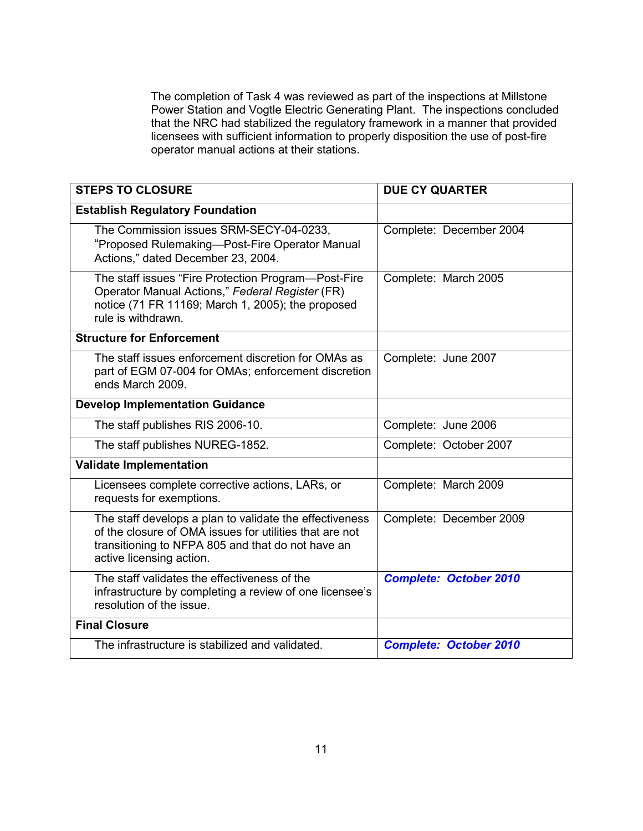The completion of Task 4 was reviewed as part of the inspections at Millstone Power Station and Vogtle Electric Generating Plant. The inspections concluded that the NRC had stabilized the regulatory framework in a manner that provided licensees with sufficient information to properly disposition the use of post-fire operator manual actions at their stations.

| <b>STEPS TO CLOSURE</b>                                                                                                                                                                             | <b>DUE CY QUARTER</b>         |
|-----------------------------------------------------------------------------------------------------------------------------------------------------------------------------------------------------|-------------------------------|
| <b>Establish Regulatory Foundation</b>                                                                                                                                                              |                               |
| The Commission issues SRM-SECY-04-0233,<br>"Proposed Rulemaking-Post-Fire Operator Manual<br>Actions," dated December 23, 2004.                                                                     | Complete: December 2004       |
| The staff issues "Fire Protection Program—Post-Fire<br>Operator Manual Actions," Federal Register (FR)<br>notice (71 FR 11169; March 1, 2005); the proposed<br>rule is withdrawn.                   | Complete: March 2005          |
| <b>Structure for Enforcement</b>                                                                                                                                                                    |                               |
| The staff issues enforcement discretion for OMAs as<br>part of EGM 07-004 for OMAs; enforcement discretion<br>ends March 2009.                                                                      | Complete: June 2007           |
| <b>Develop Implementation Guidance</b>                                                                                                                                                              |                               |
| The staff publishes RIS 2006-10.                                                                                                                                                                    | Complete: June 2006           |
| The staff publishes NUREG-1852.                                                                                                                                                                     | Complete: October 2007        |
| <b>Validate Implementation</b>                                                                                                                                                                      |                               |
| Licensees complete corrective actions, LARs, or<br>requests for exemptions.                                                                                                                         | Complete: March 2009          |
| The staff develops a plan to validate the effectiveness<br>of the closure of OMA issues for utilities that are not<br>transitioning to NFPA 805 and that do not have an<br>active licensing action. | Complete: December 2009       |
| The staff validates the effectiveness of the<br>infrastructure by completing a review of one licensee's<br>resolution of the issue.                                                                 | <b>Complete: October 2010</b> |
| <b>Final Closure</b>                                                                                                                                                                                |                               |
| The infrastructure is stabilized and validated.                                                                                                                                                     | <b>Complete: October 2010</b> |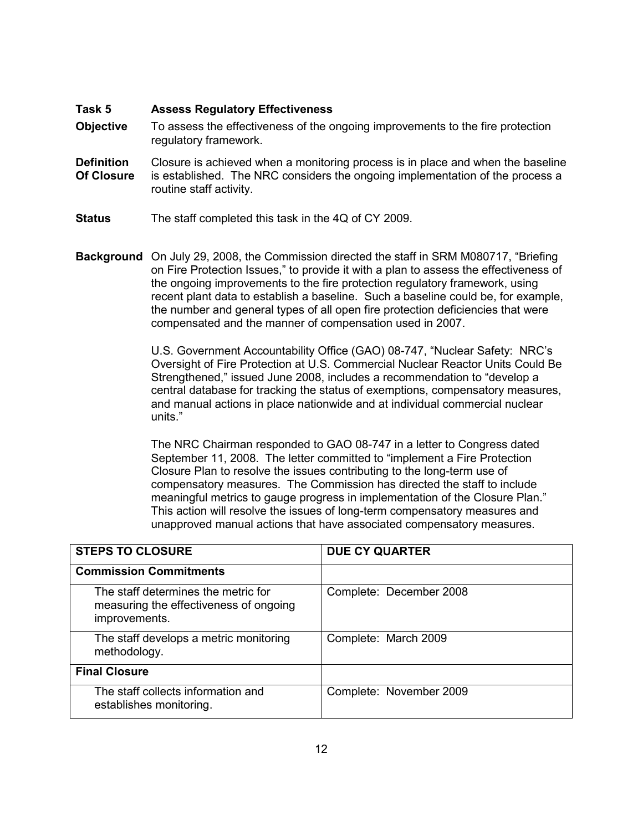#### **Task 5 Assess Regulatory Effectiveness**

- **Objective** To assess the effectiveness of the ongoing improvements to the fire protection regulatory framework.
- **Definition** Closure is achieved when a monitoring process is in place and when the baseline **Of Closure** is established. The NRC considers the ongoing implementation of the process a routine staff activity.
- **Status** The staff completed this task in the 4Q of CY 2009.
- **Background** On July 29, 2008, the Commission directed the staff in SRM M080717, "Briefing on Fire Protection Issues," to provide it with a plan to assess the effectiveness of the ongoing improvements to the fire protection regulatory framework, using recent plant data to establish a baseline. Such a baseline could be, for example, the number and general types of all open fire protection deficiencies that were compensated and the manner of compensation used in 2007.

U.S. Government Accountability Office (GAO) 08-747, "Nuclear Safety: NRC's Oversight of Fire Protection at U.S. Commercial Nuclear Reactor Units Could Be Strengthened," issued June 2008, includes a recommendation to "develop a central database for tracking the status of exemptions, compensatory measures, and manual actions in place nationwide and at individual commercial nuclear units."

The NRC Chairman responded to GAO 08-747 in a letter to Congress dated September 11, 2008. The letter committed to "implement a Fire Protection Closure Plan to resolve the issues contributing to the long-term use of compensatory measures. The Commission has directed the staff to include meaningful metrics to gauge progress in implementation of the Closure Plan." This action will resolve the issues of long-term compensatory measures and unapproved manual actions that have associated compensatory measures.

| <b>STEPS TO CLOSURE</b>                                                                        | <b>DUE CY QUARTER</b>   |
|------------------------------------------------------------------------------------------------|-------------------------|
| <b>Commission Commitments</b>                                                                  |                         |
| The staff determines the metric for<br>measuring the effectiveness of ongoing<br>improvements. | Complete: December 2008 |
| The staff develops a metric monitoring<br>methodology.                                         | Complete: March 2009    |
| <b>Final Closure</b>                                                                           |                         |
| The staff collects information and<br>establishes monitoring.                                  | Complete: November 2009 |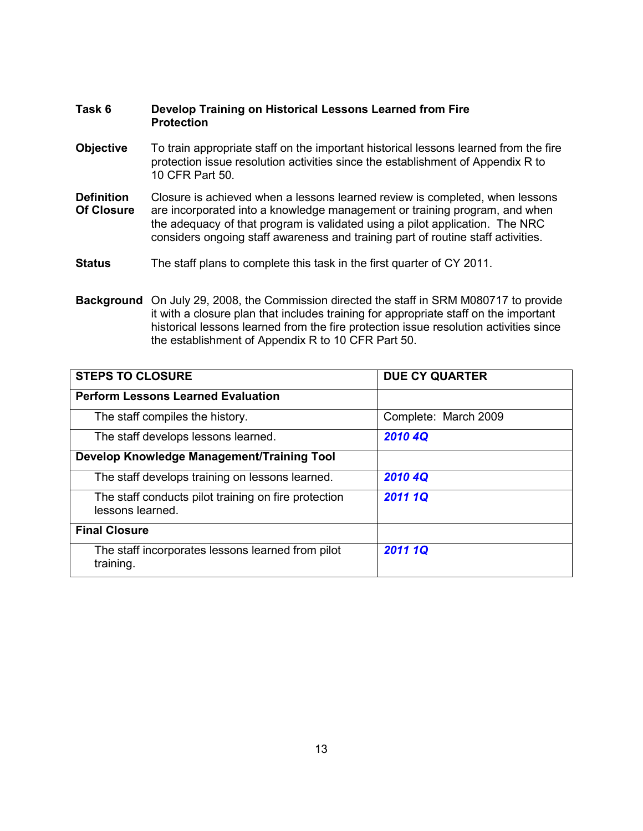### **Task 6 Develop Training on Historical Lessons Learned from Fire Protection**

- **Objective** To train appropriate staff on the important historical lessons learned from the fire protection issue resolution activities since the establishment of Appendix R to 10 CFR Part 50.
- **Definition** Closure is achieved when a lessons learned review is completed, when lessons **Of Closure** are incorporated into a knowledge management or training program, and when the adequacy of that program is validated using a pilot application. The NRC considers ongoing staff awareness and training part of routine staff activities.
- **Status** The staff plans to complete this task in the first quarter of CY 2011.
- **Background** On July 29, 2008, the Commission directed the staff in SRM M080717 to provide it with a closure plan that includes training for appropriate staff on the important historical lessons learned from the fire protection issue resolution activities since the establishment of Appendix R to 10 CFR Part 50.

| <b>STEPS TO CLOSURE</b>                                                  | <b>DUE CY QUARTER</b> |
|--------------------------------------------------------------------------|-----------------------|
| <b>Perform Lessons Learned Evaluation</b>                                |                       |
| The staff compiles the history.                                          | Complete: March 2009  |
| The staff develops lessons learned.                                      | 2010 4Q               |
| Develop Knowledge Management/Training Tool                               |                       |
| The staff develops training on lessons learned.                          | 2010 4Q               |
| The staff conducts pilot training on fire protection<br>lessons learned. | 2011 1Q               |
| <b>Final Closure</b>                                                     |                       |
| The staff incorporates lessons learned from pilot<br>training.           | 2011 1Q               |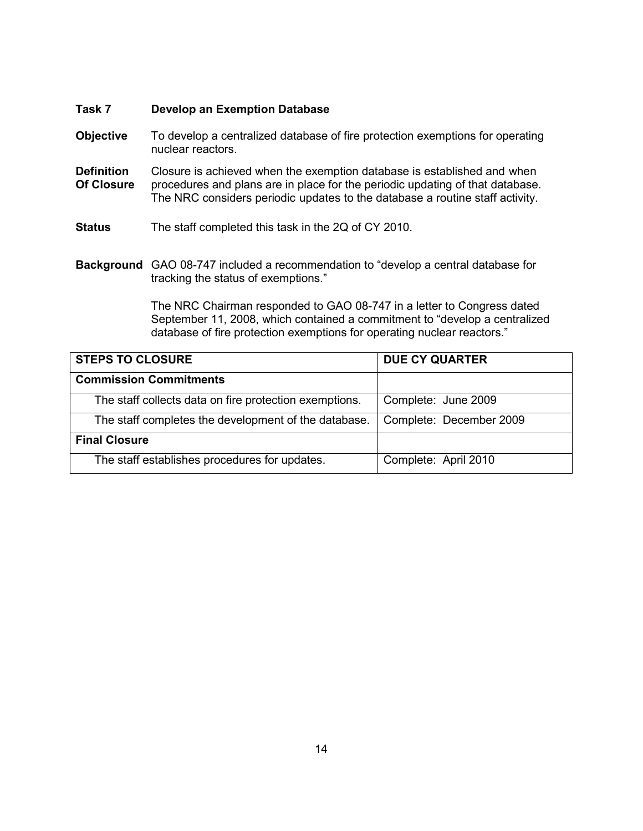### **Task 7 Develop an Exemption Database**

- **Objective** To develop a centralized database of fire protection exemptions for operating nuclear reactors.
- **Definition** Closure is achieved when the exemption database is established and when **Of Closure** procedures and plans are in place for the periodic updating of that database. The NRC considers periodic updates to the database a routine staff activity.
- **Status** The staff completed this task in the 2Q of CY 2010.
- **Background** GAO 08-747 included a recommendation to "develop a central database for tracking the status of exemptions."

The NRC Chairman responded to GAO 08-747 in a letter to Congress dated September 11, 2008, which contained a commitment to "develop a centralized database of fire protection exemptions for operating nuclear reactors."

| <b>STEPS TO CLOSURE</b>                                | <b>DUE CY QUARTER</b>   |
|--------------------------------------------------------|-------------------------|
| <b>Commission Commitments</b>                          |                         |
| The staff collects data on fire protection exemptions. | Complete: June 2009     |
| The staff completes the development of the database.   | Complete: December 2009 |
| <b>Final Closure</b>                                   |                         |
| The staff establishes procedures for updates.          | Complete: April 2010    |